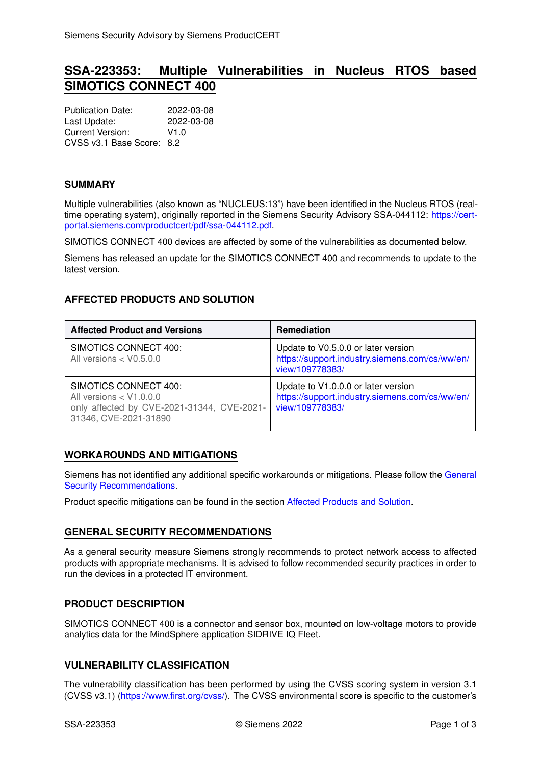# **SSA-223353: Multiple Vulnerabilities in Nucleus RTOS based SIMOTICS CONNECT 400**

Publication Date: 2022-03-08 Last Update: 2022-03-08 Current Version: V1.0 CVSS v3.1 Base Score: 8.2

### **SUMMARY**

Multiple vulnerabilities (also known as "NUCLEUS:13") have been identified in the Nucleus RTOS (realtime operating system), originally reported in the Siemens Security Advisory SSA-044112: [https://cert](https://cert-portal.siemens.com/productcert/pdf/ssa-044112.pdf)[portal.siemens.com/productcert/pdf/ssa-044112.pdf.](https://cert-portal.siemens.com/productcert/pdf/ssa-044112.pdf)

SIMOTICS CONNECT 400 devices are affected by some of the vulnerabilities as documented below.

<span id="page-0-1"></span>Siemens has released an update for the SIMOTICS CONNECT 400 and recommends to update to the latest version.

# **AFFECTED PRODUCTS AND SOLUTION**

| <b>Affected Product and Versions</b>                                                                                      | <b>Remediation</b>                                                                                       |
|---------------------------------------------------------------------------------------------------------------------------|----------------------------------------------------------------------------------------------------------|
| SIMOTICS CONNECT 400:<br>All versions $<$ V0.5.0.0                                                                        | Update to V0.5.0.0 or later version<br>https://support.industry.siemens.com/cs/ww/en/<br>view/109778383/ |
| SIMOTICS CONNECT 400:<br>All versions $<$ V1.0.0.0<br>only affected by CVE-2021-31344, CVE-2021-<br>31346, CVE-2021-31890 | Update to V1.0.0.0 or later version<br>https://support.industry.siemens.com/cs/ww/en/<br>view/109778383/ |

### **WORKAROUNDS AND MITIGATIONS**

Siemens has not identified any additional specific workarounds or mitigations. Please follow the [General](#page-0-0) [Security Recommendations.](#page-0-0)

<span id="page-0-0"></span>Product specific mitigations can be found in the section [Affected Products and Solution.](#page-0-1)

### **GENERAL SECURITY RECOMMENDATIONS**

As a general security measure Siemens strongly recommends to protect network access to affected products with appropriate mechanisms. It is advised to follow recommended security practices in order to run the devices in a protected IT environment.

### **PRODUCT DESCRIPTION**

SIMOTICS CONNECT 400 is a connector and sensor box, mounted on low-voltage motors to provide analytics data for the MindSphere application SIDRIVE IQ Fleet.

## **VULNERABILITY CLASSIFICATION**

The vulnerability classification has been performed by using the CVSS scoring system in version 3.1 (CVSS v3.1) [\(https://www.first.org/cvss/\)](https://www.first.org/cvss/). The CVSS environmental score is specific to the customer's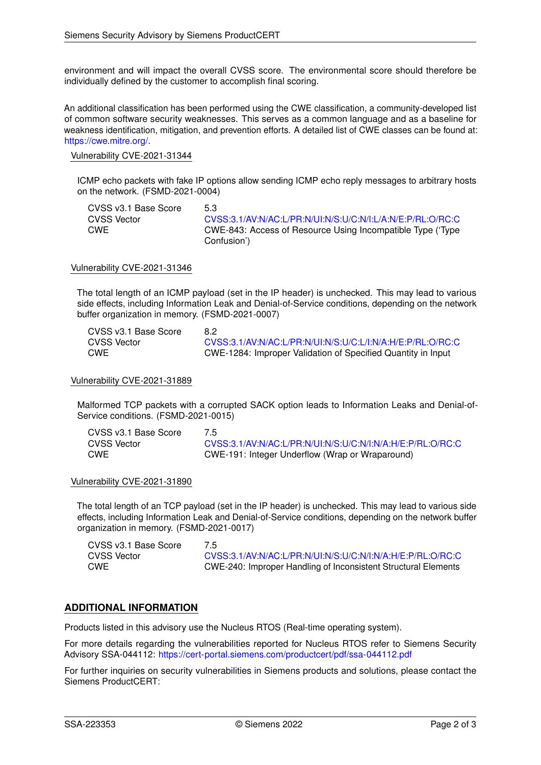environment and will impact the overall CVSS score. The environmental score should therefore be individually defined by the customer to accomplish final scoring.

An additional classification has been performed using the CWE classification, a community-developed list of common software security weaknesses. This serves as a common language and as a baseline for weakness identification, mitigation, and prevention efforts. A detailed list of CWE classes can be found at: [https://cwe.mitre.org/.](https://cwe.mitre.org/)

#### Vulnerability CVE-2021-31344

ICMP echo packets with fake IP options allow sending ICMP echo reply messages to arbitrary hosts on the network. (FSMD-2021-0004)

| CVSS v3.1 Base Score | 53                                                         |
|----------------------|------------------------------------------------------------|
| CVSS Vector          | CVSS:3.1/AV:N/AC:L/PR:N/UI:N/S:U/C:N/I:L/A:N/E:P/RL:O/RC:C |
| CWE                  | CWE-843: Access of Resource Using Incompatible Type ('Type |
|                      | Confusion')                                                |

#### Vulnerability CVE-2021-31346

The total length of an ICMP payload (set in the IP header) is unchecked. This may lead to various side effects, including Information Leak and Denial-of-Service conditions, depending on the network buffer organization in memory. (FSMD-2021-0007)

| CVSS v3.1 Base Score | 8.2                                                          |
|----------------------|--------------------------------------------------------------|
| CVSS Vector          | CVSS:3.1/AV:N/AC:L/PR:N/UI:N/S:U/C:L/I:N/A:H/E:P/RL:O/RC:C   |
| CWE                  | CWE-1284: Improper Validation of Specified Quantity in Input |

#### Vulnerability CVE-2021-31889

Malformed TCP packets with a corrupted SACK option leads to Information Leaks and Denial-of-Service conditions. (FSMD-2021-0015)

| CVSS v3.1 Base Score | 75                                                         |
|----------------------|------------------------------------------------------------|
| CVSS Vector          | CVSS:3.1/AV:N/AC:L/PR:N/UI:N/S:U/C:N/I:N/A:H/E:P/RL:O/RC:C |
| <b>CWE</b>           | CWE-191: Integer Underflow (Wrap or Wraparound)            |

#### Vulnerability CVE-2021-31890

The total length of an TCP payload (set in the IP header) is unchecked. This may lead to various side effects, including Information Leak and Denial-of-Service conditions, depending on the network buffer organization in memory. (FSMD-2021-0017)

| CVSS v3.1 Base Score | 7.5                                                            |
|----------------------|----------------------------------------------------------------|
| CVSS Vector          | CVSS:3.1/AV:N/AC:L/PR:N/UI:N/S:U/C:N/I:N/A:H/E:P/RL:O/RC:C     |
| CWE                  | CWE-240: Improper Handling of Inconsistent Structural Elements |

#### **ADDITIONAL INFORMATION**

Products listed in this advisory use the Nucleus RTOS (Real-time operating system).

For more details regarding the vulnerabilities reported for Nucleus RTOS refer to Siemens Security Advisory SSA-044112: <https://cert-portal.siemens.com/productcert/pdf/ssa-044112.pdf>

For further inquiries on security vulnerabilities in Siemens products and solutions, please contact the Siemens ProductCERT: